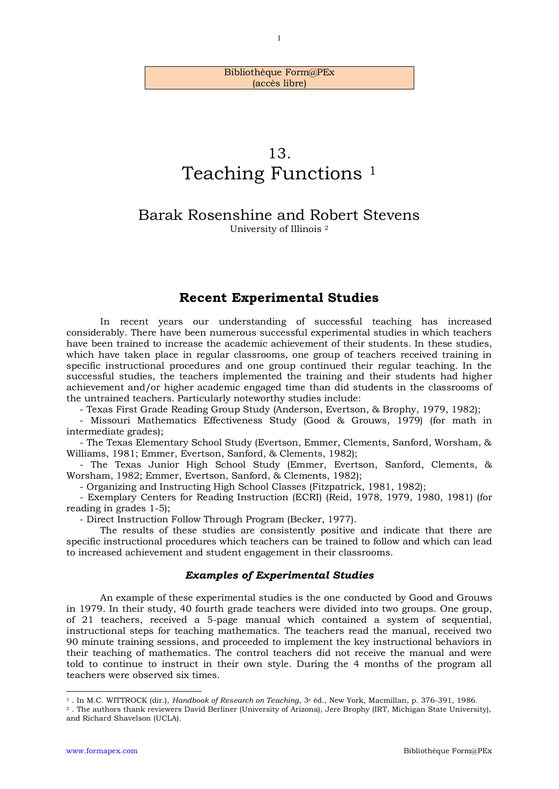Bibliothèque Form@PEx (accès libre)

# 13. Teaching Functions <sup>1</sup>

Barak Rosenshine and Robert Stevens University of Illinois <sup>2</sup>

## **Recent Experimental Studies**

In recent years our understanding of successful teaching has increased considerably. There have been numerous successful experimental studies in which teachers have been trained to increase the academic achievement of their students. In these studies, which have taken place in regular classrooms, one group of teachers received training in specific instructional procedures and one group continued their regular teaching. In the successful studies, the teachers implemented the training and their students had higher achievement and/or higher academic engaged time than did students in the classrooms of the untrained teachers. Particularly noteworthy studies include:

- Texas First Grade Reading Group Study (Anderson, Evertson, & Brophy, 1979, 1982);

- Missouri Mathematics Effectiveness Study (Good & Grouws, 1979) (for math in intermediate grades);

- The Texas Elementary School Study (Evertson, Emmer, Clements, Sanford, Worsham, & Williams, 1981; Emmer, Evertson, Sanford, & Clements, 1982);

- The Texas Junior High School Study (Emmer, Evertson, Sanford, Clements, & Worsham, 1982; Emmer, Evertson, Sanford, & Clements, 1982);

- Organizing and Instructing High School Classes (Fitzpatrick, 1981, 1982);

- Exemplary Centers for Reading Instruction (ECRI) (Reid, 1978, 1979, 1980, 1981) (for reading in grades 1-5);

- Direct Instruction Follow Through Program (Becker, 1977).

The results of these studies are consistently positive and indicate that there are specific instructional procedures which teachers can be trained to follow and which can lead to increased achievement and student engagement in their classrooms.

#### *Examples of Experimental Studies*

An example of these experimental studies is the one conducted by Good and Grouws in 1979. In their study, 40 fourth grade teachers were divided into two groups. One group, of 21 teachers, received a 5-page manual which contained a system of sequential, instructional steps for teaching mathematics. The teachers read the manual, received two 90 minute training sessions, and proceeded to implement the key instructional behaviors in their teaching of mathematics. The control teachers did not receive the manual and were told to continue to instruct in their own style. During the 4 months of the program all teachers were observed six times.

ł

<sup>1</sup> . In M.C. WITTROCK (dir.), *Handbook of Research on Teaching*, 3<sup>e</sup> éd., New York, Macmillan, p. 376-391, 1986.

<sup>2</sup> . The authors thank reviewers David Berliner (University of Arizona), Jere Brophy (IRT, Michigan State University), and Richard Shavelson (UCLA).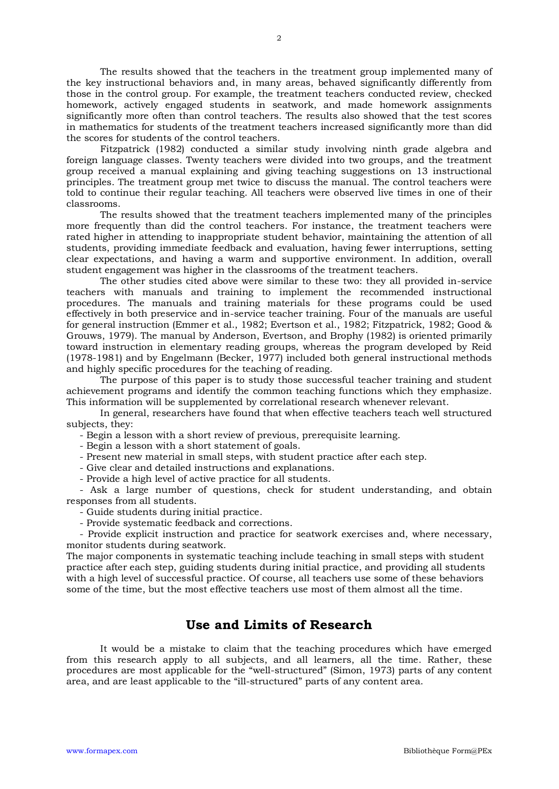The results showed that the teachers in the treatment group implemented many of the key instructional behaviors and, in many areas, behaved significantly differently from those in the control group. For example, the treatment teachers conducted review, checked homework, actively engaged students in seatwork, and made homework assignments significantly more often than control teachers. The results also showed that the test scores in mathematics for students of the treatment teachers increased significantly more than did the scores for students of the control teachers.

Fitzpatrick (1982) conducted a similar study involving ninth grade algebra and foreign language classes. Twenty teachers were divided into two groups, and the treatment group received a manual explaining and giving teaching suggestions on 13 instructional principles. The treatment group met twice to discuss the manual. The control teachers were told to continue their regular teaching. All teachers were observed live times in one of their classrooms.

The results showed that the treatment teachers implemented many of the principles more frequently than did the control teachers. For instance, the treatment teachers were rated higher in attending to inappropriate student behavior, maintaining the attention of all students, providing immediate feedback and evaluation, having fewer interruptions, setting clear expectations, and having a warm and supportive environment. In addition, overall student engagement was higher in the classrooms of the treatment teachers.

The other studies cited above were similar to these two: they all provided in-service teachers with manuals and training to implement the recommended instructional procedures. The manuals and training materials for these programs could be used effectively in both preservice and in-service teacher training. Four of the manuals are useful for general instruction (Emmer et al., 1982; Evertson et al., 1982; Fitzpatrick, 1982; Good & Grouws, 1979). The manual by Anderson, Evertson, and Brophy (1982) is oriented primarily toward instruction in elementary reading groups, whereas the program developed by Reid (1978-1981) and by Engelmann (Becker, 1977) included both general instructional methods and highly specific procedures for the teaching of reading.

The purpose of this paper is to study those successful teacher training and student achievement programs and identify the common teaching functions which they emphasize. This information will be supplemented by correlational research whenever relevant.

In general, researchers have found that when effective teachers teach well structured subjects, they:

- Begin a lesson with a short review of previous, prerequisite learning.

- Begin a lesson with a short statement of goals.

- Present new material in small steps, with student practice after each step.

- Give clear and detailed instructions and explanations.

- Provide a high level of active practice for all students.

- Ask a large number of questions, check for student understanding, and obtain responses from all students.

- Guide students during initial practice.

- Provide systematic feedback and corrections.

- Provide explicit instruction and practice for seatwork exercises and, where necessary, monitor students during seatwork.

The major components in systematic teaching include teaching in small steps with student practice after each step, guiding students during initial practice, and providing all students with a high level of successful practice. Of course, all teachers use some of these behaviors some of the time, but the most effective teachers use most of them almost all the time.

## **Use and Limits of Research**

It would be a mistake to claim that the teaching procedures which have emerged from this research apply to all subjects, and all learners, all the time. Rather, these procedures are most applicable for the "well-structured" (Simon, 1973) parts of any content area, and are least applicable to the "ill-structured" parts of any content area.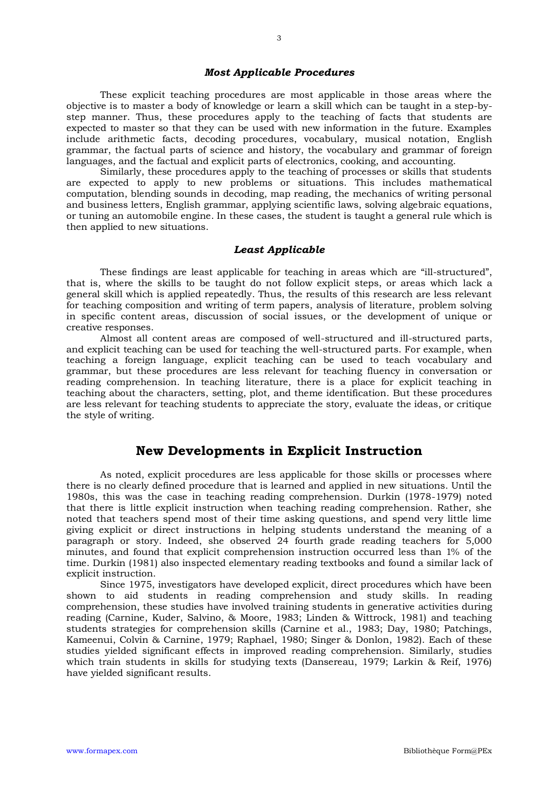#### *Most Applicable Procedures*

These explicit teaching procedures are most applicable in those areas where the objective is to master a body of knowledge or learn a skill which can be taught in a step-bystep manner. Thus, these procedures apply to the teaching of facts that students are expected to master so that they can be used with new information in the future. Examples include arithmetic facts, decoding procedures, vocabulary, musical notation, English grammar, the factual parts of science and history, the vocabulary and grammar of foreign languages, and the factual and explicit parts of electronics, cooking, and accounting.

Similarly, these procedures apply to the teaching of processes or skills that students are expected to apply to new problems or situations. This includes mathematical computation, blending sounds in decoding, map reading, the mechanics of writing personal and business letters, English grammar, applying scientific laws, solving algebraic equations, or tuning an automobile engine. In these cases, the student is taught a general rule which is then applied to new situations.

#### *Least Applicable*

These findings are least applicable for teaching in areas which are "ill-structured", that is, where the skills to be taught do not follow explicit steps, or areas which lack a general skill which is applied repeatedly. Thus, the results of this research are less relevant for teaching composition and writing of term papers, analysis of literature, problem solving in specific content areas, discussion of social issues, or the development of unique or creative responses.

Almost all content areas are composed of well-structured and ill-structured parts, and explicit teaching can be used for teaching the well-structured parts. For example, when teaching a foreign language, explicit teaching can be used to teach vocabulary and grammar, but these procedures are less relevant for teaching fluency in conversation or reading comprehension. In teaching literature, there is a place for explicit teaching in teaching about the characters, setting, plot, and theme identification. But these procedures are less relevant for teaching students to appreciate the story, evaluate the ideas, or critique the style of writing.

## **New Developments in Explicit Instruction**

As noted, explicit procedures are less applicable for those skills or processes where there is no clearly defined procedure that is learned and applied in new situations. Until the 1980s, this was the case in teaching reading comprehension. Durkin (1978-1979) noted that there is little explicit instruction when teaching reading comprehension. Rather, she noted that teachers spend most of their time asking questions, and spend very little lime giving explicit or direct instructions in helping students understand the meaning of a paragraph or story. Indeed, she observed 24 fourth grade reading teachers for 5,000 minutes, and found that explicit comprehension instruction occurred less than 1% of the time. Durkin (1981) also inspected elementary reading textbooks and found a similar lack of explicit instruction.

Since 1975, investigators have developed explicit, direct procedures which have been shown to aid students in reading comprehension and study skills. In reading comprehension, these studies have involved training students in generative activities during reading (Carnine, Kuder, Salvino, & Moore, 1983; Linden & Wittrock, 1981) and teaching students strategies for comprehension skills (Carnine et al., 1983; Day, 1980; Patchings, Kameenui, Colvin & Carnine, 1979; Raphael, 1980; Singer & Donlon, 1982). Each of these studies yielded significant effects in improved reading comprehension. Similarly, studies which train students in skills for studying texts (Dansereau, 1979; Larkin & Reif, 1976) have yielded significant results.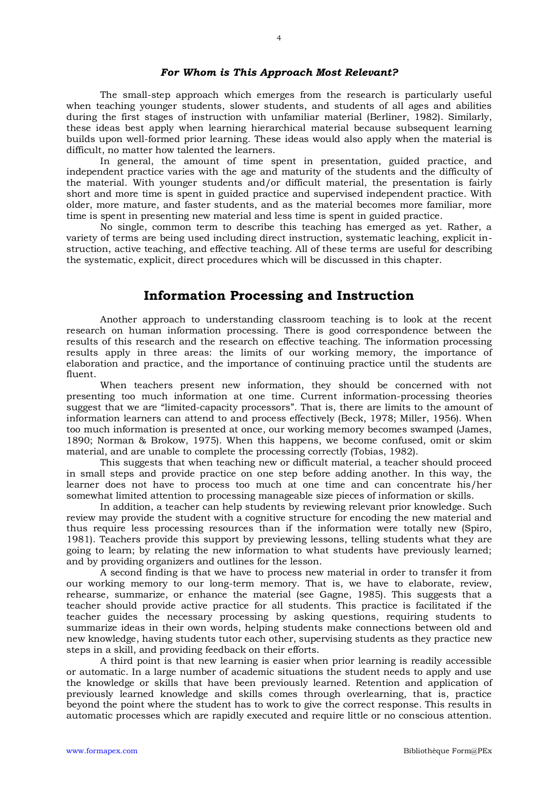#### *For Whom is This Approach Most Relevant?*

The small-step approach which emerges from the research is particularly useful when teaching younger students, slower students, and students of all ages and abilities during the first stages of instruction with unfamiliar material (Berliner, 1982). Similarly, these ideas best apply when learning hierarchical material because subsequent learning builds upon well-formed prior learning. These ideas would also apply when the material is difficult, no matter how talented the learners.

In general, the amount of time spent in presentation, guided practice, and independent practice varies with the age and maturity of the students and the difficulty of the material. With younger students and/or difficult material, the presentation is fairly short and more time is spent in guided practice and supervised independent practice. With older, more mature, and faster students, and as the material becomes more familiar, more time is spent in presenting new material and less time is spent in guided practice.

No single, common term to describe this teaching has emerged as yet. Rather, a variety of terms are being used including direct instruction, systematic leaching, explicit instruction, active teaching, and effective teaching. All of these terms are useful for describing the systematic, explicit, direct procedures which will be discussed in this chapter.

## **Information Processing and Instruction**

Another approach to understanding classroom teaching is to look at the recent research on human information processing. There is good correspondence between the results of this research and the research on effective teaching. The information processing results apply in three areas: the limits of our working memory, the importance of elaboration and practice, and the importance of continuing practice until the students are fluent.

When teachers present new information, they should be concerned with not presenting too much information at one time. Current information-processing theories suggest that we are "limited-capacity processors". That is, there are limits to the amount of information learners can attend to and process effectively (Beck, 1978; Miller, 1956). When too much information is presented at once, our working memory becomes swamped (James, 1890; Norman & Brokow, 1975). When this happens, we become confused, omit or skim material, and are unable to complete the processing correctly (Tobias, 1982).

This suggests that when teaching new or difficult material, a teacher should proceed in small steps and provide practice on one step before adding another. In this way, the learner does not have to process too much at one time and can concentrate his/her somewhat limited attention to processing manageable size pieces of information or skills.

In addition, a teacher can help students by reviewing relevant prior knowledge. Such review may provide the student with a cognitive structure for encoding the new material and thus require less processing resources than if the information were totally new (Spiro, 1981). Teachers provide this support by previewing lessons, telling students what they are going to learn; by relating the new information to what students have previously learned; and by providing organizers and outlines for the lesson.

A second finding is that we have to process new material in order to transfer it from our working memory to our long-term memory. That is, we have to elaborate, review, rehearse, summarize, or enhance the material (see Gagne, 1985). This suggests that a teacher should provide active practice for all students. This practice is facilitated if the teacher guides the necessary processing by asking questions, requiring students to summarize ideas in their own words, helping students make connections between old and new knowledge, having students tutor each other, supervising students as they practice new steps in a skill, and providing feedback on their efforts.

A third point is that new learning is easier when prior learning is readily accessible or automatic. In a large number of academic situations the student needs to apply and use the knowledge or skills that have been previously learned. Retention and application of previously learned knowledge and skills comes through overlearning, that is, practice beyond the point where the student has to work to give the correct response. This results in automatic processes which are rapidly executed and require little or no conscious attention.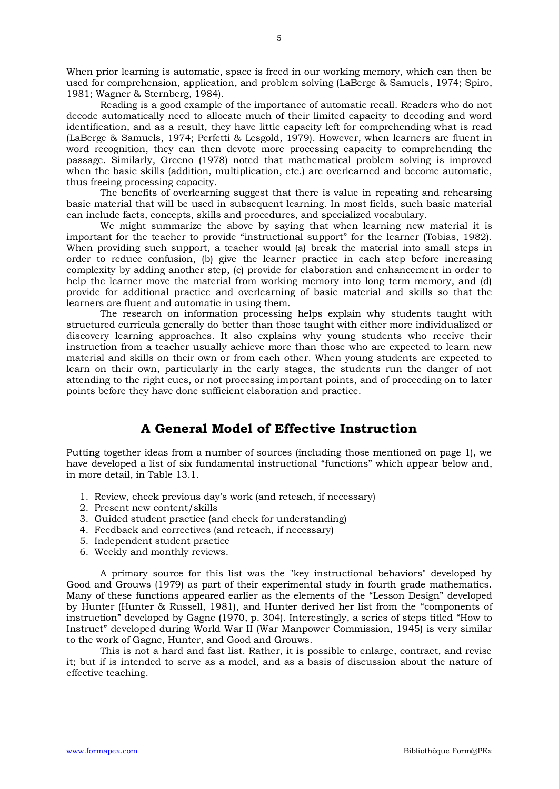When prior learning is automatic, space is freed in our working memory, which can then be used for comprehension, application, and problem solving (LaBerge & Samuels, 1974; Spiro, 1981; Wagner & Sternberg, 1984).

Reading is a good example of the importance of automatic recall. Readers who do not decode automatically need to allocate much of their limited capacity to decoding and word identification, and as a result, they have little capacity left for comprehending what is read (LaBerge & Samuels, 1974; Perfetti & Lesgold, 1979). However, when learners are fluent in word recognition, they can then devote more processing capacity to comprehending the passage. Similarly, Greeno (1978) noted that mathematical problem solving is improved when the basic skills (addition, multiplication, etc.) are overlearned and become automatic, thus freeing processing capacity.

The benefits of overlearning suggest that there is value in repeating and rehearsing basic material that will be used in subsequent learning. In most fields, such basic material can include facts, concepts, skills and procedures, and specialized vocabulary.

We might summarize the above by saying that when learning new material it is important for the teacher to provide "instructional support" for the learner (Tobias, 1982). When providing such support, a teacher would (a) break the material into small steps in order to reduce confusion, (b) give the learner practice in each step before increasing complexity by adding another step, (c) provide for elaboration and enhancement in order to help the learner move the material from working memory into long term memory, and (d) provide for additional practice and overlearning of basic material and skills so that the learners are fluent and automatic in using them.

The research on information processing helps explain why students taught with structured curricula generally do better than those taught with either more individualized or discovery learning approaches. It also explains why young students who receive their instruction from a teacher usually achieve more than those who are expected to learn new material and skills on their own or from each other. When young students are expected to learn on their own, particularly in the early stages, the students run the danger of not attending to the right cues, or not processing important points, and of proceeding on to later points before they have done sufficient elaboration and practice.

## **A General Model of Effective Instruction**

Putting together ideas from a number of sources (including those mentioned on page 1), we have developed a list of six fundamental instructional "functions" which appear below and, in more detail, in Table 13.1.

- 1. Review, check previous day's work (and reteach, if necessary)
- 2. Present new content/skills
- 3. Guided student practice (and check for understanding)
- 4. Feedback and correctives (and reteach, if necessary)
- 5. Independent student practice
- 6. Weekly and monthly reviews.

A primary source for this list was the "key instructional behaviors" developed by Good and Grouws (1979) as part of their experimental study in fourth grade mathematics. Many of these functions appeared earlier as the elements of the "Lesson Design" developed by Hunter (Hunter & Russell, 1981), and Hunter derived her list from the "components of instruction" developed by Gagne (1970, p. 304). Interestingly, a series of steps titled "How to Instruct" developed during World War II (War Manpower Commission, 1945) is very similar to the work of Gagne, Hunter, and Good and Grouws.

This is not a hard and fast list. Rather, it is possible to enlarge, contract, and revise it; but if is intended to serve as a model, and as a basis of discussion about the nature of effective teaching.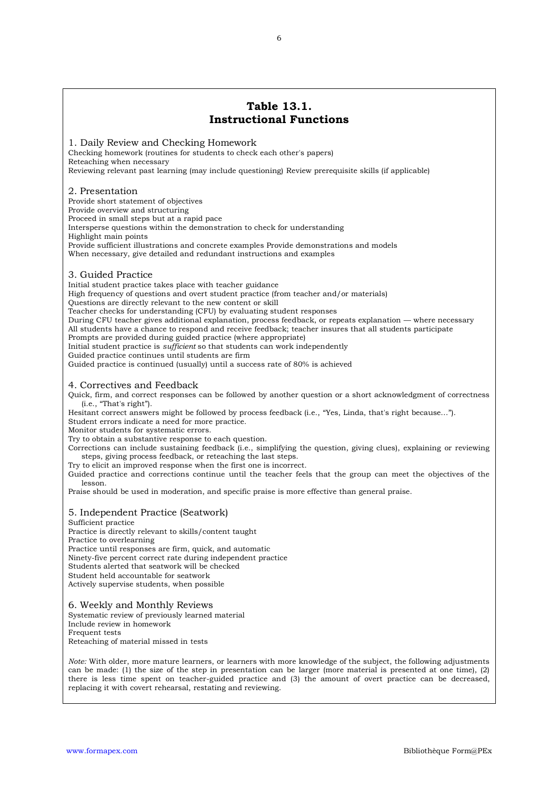## **Table 13.1. Instructional Functions**

1. Daily Review and Checking Homework

Checking homework (routines for students to check each other's papers) Reteaching when necessary Reviewing relevant past learning (may include questioning) Review prerequisite skills (if applicable)

#### 2. Presentation

Provide short statement of objectives

Provide overview and structuring

Proceed in small steps but at a rapid pace

Intersperse questions within the demonstration to check for understanding

Highlight main points

Provide sufficient illustrations and concrete examples Provide demonstrations and models When necessary, give detailed and redundant instructions and examples

#### 3. Guided Practice

Initial student practice takes place with teacher guidance

High frequency of questions and overt student practice (from teacher and/or materials)

Questions are directly relevant to the new content or skill

Teacher checks for understanding (CFU) by evaluating student responses

During CFU teacher gives additional explanation, process feedback, or repeats explanation — where necessary All students have a chance to respond and receive feedback; teacher insures that all students participate

Prompts are provided during guided practice (where appropriate)

Initial student practice is *sufficient* so that students can work independently

Guided practice continues until students are firm

Guided practice is continued (usually) until a success rate of 80% is achieved

#### 4. Correctives and Feedback

Quick, firm, and correct responses can be followed by another question or a short acknowledgment of correctness (i.e., "That's right").

Hesitant correct answers might be followed by process feedback (i.e., "Yes, Linda, that's right because...").

Student errors indicate a need for more practice.

Monitor students for systematic errors.

Try to obtain a substantive response to each question.

Corrections can include sustaining feedback (i.e., simplifying the question, giving clues), explaining or reviewing steps, giving process feedback, or reteaching the last steps.

Try to elicit an improved response when the first one is incorrect.

Guided practice and corrections continue until the teacher feels that the group can meet the objectives of the lesson.

Praise should be used in moderation, and specific praise is more effective than general praise.

#### 5. Independent Practice (Seatwork)

Sufficient practice

Practice is directly relevant to skills/content taught Practice to overlearning Practice until responses are firm, quick, and automatic Ninety-five percent correct rate during independent practice Students alerted that seatwork will be checked Student held accountable for seatwork Actively supervise students, when possible

#### 6. Weekly and Monthly Reviews

Systematic review of previously learned material

Include review in homework

Frequent tests

Reteaching of material missed in tests

*Note:* With older, more mature learners, or learners with more knowledge of the subject, the following adjustments can be made: (1) the size of the step in presentation can be larger (more material is presented at one time), (2) there is less time spent on teacher-guided practice and (3) the amount of overt practice can be decreased, replacing it with covert rehearsal, restating and reviewing.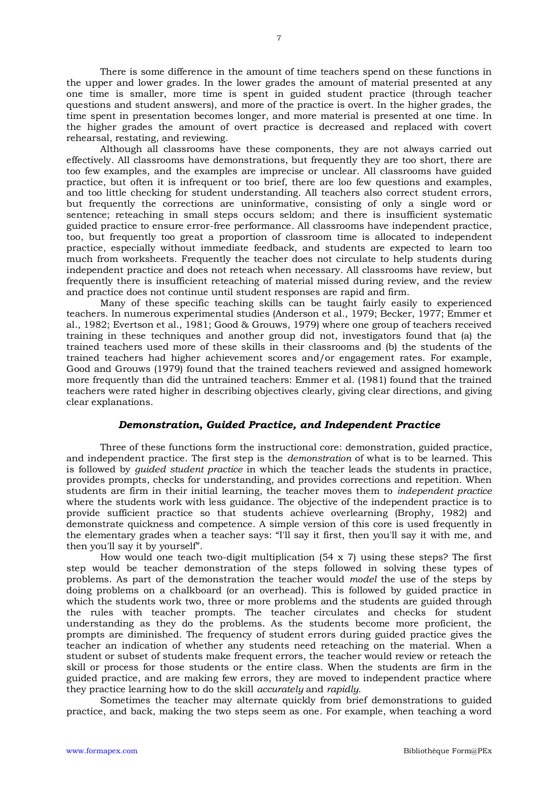There is some difference in the amount of time teachers spend on these functions in the upper and lower grades. In the lower grades the amount of material presented at any one time is smaller, more time is spent in guided student practice (through teacher questions and student answers), and more of the practice is overt. In the higher grades, the time spent in presentation becomes longer, and more material is presented at one time. In the higher grades the amount of overt practice is decreased and replaced with covert rehearsal, restating, and reviewing.

Although all classrooms have these components, they are not always carried out effectively. All classrooms have demonstrations, but frequently they are too short, there are too few examples, and the examples are imprecise or unclear. All classrooms have guided practice, but often it is infrequent or too brief, there are loo few questions and examples, and too little checking for student understanding. All teachers also correct student errors, but frequently the corrections are uninformative, consisting of only a single word or sentence; reteaching in small steps occurs seldom; and there is insufficient systematic guided practice to ensure error-free performance. All classrooms have independent practice, too, but frequently too great a proportion of classroom time is allocated to independent practice, especially without immediate feedback, and students are expected to learn too much from worksheets. Frequently the teacher does not circulate to help students during independent practice and does not reteach when necessary. All classrooms have review, but frequently there is insufficient reteaching of material missed during review, and the review and practice does not continue until student responses are rapid and firm.

Many of these specific teaching skills can be taught fairly easily to experienced teachers. In numerous experimental studies (Anderson et al., 1979; Becker, 1977; Emmer et al., 1982; Evertson et al., 1981; Good & Grouws, 1979) where one group of teachers received training in these techniques and another group did not, investigators found that (a) the trained teachers used more of these skills in their classrooms and (b) the students of the trained teachers had higher achievement scores and/or engagement rates. For example, Good and Grouws (1979) found that the trained teachers reviewed and assigned homework more frequently than did the untrained teachers: Emmer et al. (1981) found that the trained teachers were rated higher in describing objectives clearly, giving clear directions, and giving clear explanations.

#### *Demonstration, Guided Practice, and Independent Practice*

Three of these functions form the instructional core: demonstration, guided practice, and independent practice. The first step is the *demonstration* of what is to be learned. This is followed by *guided student practice* in which the teacher leads the students in practice, provides prompts, checks for understanding, and provides corrections and repetition. When students are firm in their initial learning, the teacher moves them to *independent practice*  where the students work with less guidance. The objective of the independent practice is to provide sufficient practice so that students achieve overlearning (Brophy, 1982) and demonstrate quickness and competence. A simple version of this core is used frequently in the elementary grades when a teacher says: "I'll say it first, then you'll say it with me, and then you'll say it by yourself".

How would one teach two-digit multiplication  $(54 \times 7)$  using these steps? The first step would be teacher demonstration of the steps followed in solving these types of problems. As part of the demonstration the teacher would *model* the use of the steps by doing problems on a chalkboard (or an overhead). This is followed by guided practice in which the students work two, three or more problems and the students are guided through the rules with teacher prompts. The teacher circulates and checks for student understanding as they do the problems. As the students become more proficient, the prompts are diminished. The frequency of student errors during guided practice gives the teacher an indication of whether any students need reteaching on the material. When a student or subset of students make frequent errors, the teacher would review or reteach the skill or process for those students or the entire class. When the students are firm in the guided practice, and are making few errors, they are moved to independent practice where they practice learning how to do the skill *accurately* and *rapidly.*

Sometimes the teacher may alternate quickly from brief demonstrations to guided practice, and back, making the two steps seem as one. For example, when teaching a word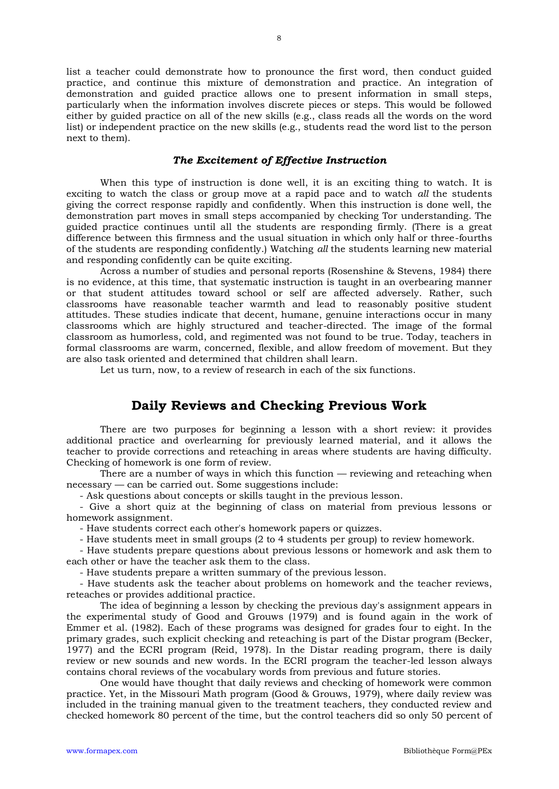list a teacher could demonstrate how to pronounce the first word, then conduct guided practice, and continue this mixture of demonstration and practice. An integration of demonstration and guided practice allows one to present information in small steps, particularly when the information involves discrete pieces or steps. This would be followed either by guided practice on all of the new skills (e.g., class reads all the words on the word list) or independent practice on the new skills (e.g., students read the word list to the person next to them).

#### *The Excitement of Effective Instruction*

When this type of instruction is done well, it is an exciting thing to watch. It is exciting to watch the class or group move at a rapid pace and to watch *all* the students giving the correct response rapidly and confidently. When this instruction is done well, the demonstration part moves in small steps accompanied by checking Tor understanding. The guided practice continues until all the students are responding firmly. (There is a great difference between this firmness and the usual situation in which only half or three-fourths of the students are responding confidently.) Watching *all* the students learning new material and responding confidently can be quite exciting.

Across a number of studies and personal reports (Rosenshine & Stevens, 1984) there is no evidence, at this time, that systematic instruction is taught in an overbearing manner or that student attitudes toward school or self are affected adversely. Rather, such classrooms have reasonable teacher warmth and lead to reasonably positive student attitudes. These studies indicate that decent, humane, genuine interactions occur in many classrooms which are highly structured and teacher-directed. The image of the formal classroom as humorless, cold, and regimented was not found to be true. Today, teachers in formal classrooms are warm, concerned, flexible, and allow freedom of movement. But they are also task oriented and determined that children shall learn.

Let us turn, now, to a review of research in each of the six functions.

## **Daily Reviews and Checking Previous Work**

There are two purposes for beginning a lesson with a short review: it provides additional practice and overlearning for previously learned material, and it allows the teacher to provide corrections and reteaching in areas where students are having difficulty. Checking of homework is one form of review.

There are a number of ways in which this function — reviewing and reteaching when necessary — can be carried out. Some suggestions include:

- Ask questions about concepts or skills taught in the previous lesson.

- Give a short quiz at the beginning of class on material from previous lessons or homework assignment.

- Have students correct each other's homework papers or quizzes.

- Have students meet in small groups (2 to 4 students per group) to review homework.

- Have students prepare questions about previous lessons or homework and ask them to each other or have the teacher ask them to the class.

- Have students prepare a written summary of the previous lesson.

- Have students ask the teacher about problems on homework and the teacher reviews, reteaches or provides additional practice.

The idea of beginning a lesson by checking the previous day's assignment appears in the experimental study of Good and Grouws (1979) and is found again in the work of Emmer et al. (1982). Each of these programs was designed for grades four to eight. In the primary grades, such explicit checking and reteaching is part of the Distar program (Becker, 1977) and the ECRI program (Reid, 1978). In the Distar reading program, there is daily review or new sounds and new words. In the ECRI program the teacher-led lesson always contains choral reviews of the vocabulary words from previous and future stories.

One would have thought that daily reviews and checking of homework were common practice. Yet, in the Missouri Math program (Good & Grouws, 1979), where daily review was included in the training manual given to the treatment teachers, they conducted review and checked homework 80 percent of the time, but the control teachers did so only 50 percent of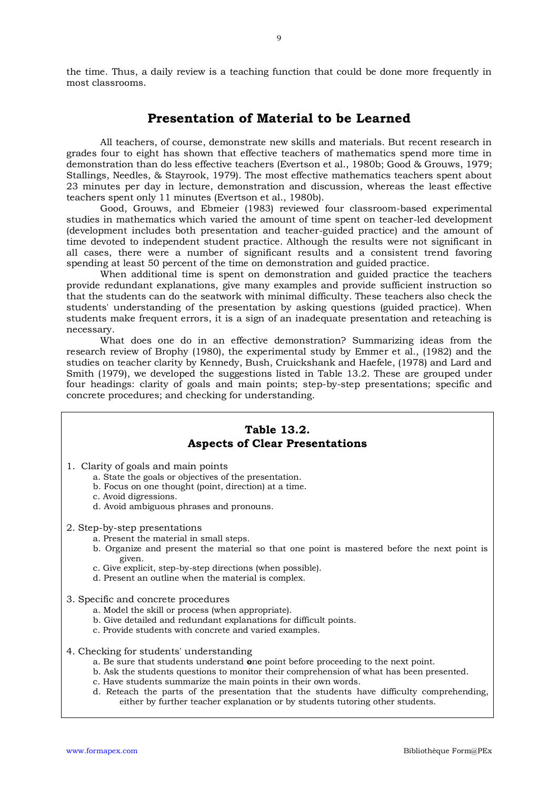the time. Thus, a daily review is a teaching function that could be done more frequently in most classrooms.

## **Presentation of Material to be Learned**

All teachers, of course, demonstrate new skills and materials. But recent research in grades four to eight has shown that effective teachers of mathematics spend more time in demonstration than do less effective teachers (Evertson et al., 1980b; Good & Grouws, 1979; Stallings, Needles, & Stayrook, 1979). The most effective mathematics teachers spent about 23 minutes per day in lecture, demonstration and discussion, whereas the least effective teachers spent only 11 minutes (Evertson et al., 1980b).

Good, Grouws, and Ebmeier (1983) reviewed four classroom-based experimental studies in mathematics which varied the amount of time spent on teacher-led development (development includes both presentation and teacher-guided practice) and the amount of time devoted to independent student practice. Although the results were not significant in all cases, there were a number of significant results and a consistent trend favoring spending at least 50 percent of the time on demonstration and guided practice.

When additional time is spent on demonstration and guided practice the teachers provide redundant explanations, give many examples and provide sufficient instruction so that the students can do the seatwork with minimal difficulty. These teachers also check the students' understanding of the presentation by asking questions (guided practice). When students make frequent errors, it is a sign of an inadequate presentation and reteaching is necessary.

What does one do in an effective demonstration? Summarizing ideas from the research review of Brophy (1980), the experimental study by Emmer et al., (1982) and the studies on teacher clarity by Kennedy, Bush, Cruickshank and Haefele, (1978) and Lard and Smith (1979), we developed the suggestions listed in Table 13.2. These are grouped under four headings: clarity of goals and main points; step-by-step presentations; specific and concrete procedures; and checking for understanding.

### **Table 13.2. Aspects of Clear Presentations**

- 1. Clarity of goals and main points
	- a. State the goals or objectives of the presentation.
	- b. Focus on one thought (point, direction) at a time.
	- c. Avoid digressions.
	- d. Avoid ambiguous phrases and pronouns.
- 2. Step-by-step presentations
	- a. Present the material in small steps.
	- b. Organize and present the material so that one point is mastered before the next point is given.
	- c. Give explicit, step-by-step directions (when possible).
	- d. Present an outline when the material is complex.
- 3. Specific and concrete procedures
	- a. Model the skill or process (when appropriate).
	- b. Give detailed and redundant explanations for difficult points.
	- c. Provide students with concrete and varied examples.
- 4. Checking for students' understanding
	- a. Be sure that students understand **o**ne point before proceeding to the next point.
	- b. Ask the students questions to monitor their comprehension of what has been presented.
	- c. Have students summarize the main points in their own words.
	- d. Reteach the parts of the presentation that the students have difficulty comprehending, either by further teacher explanation or by students tutoring other students.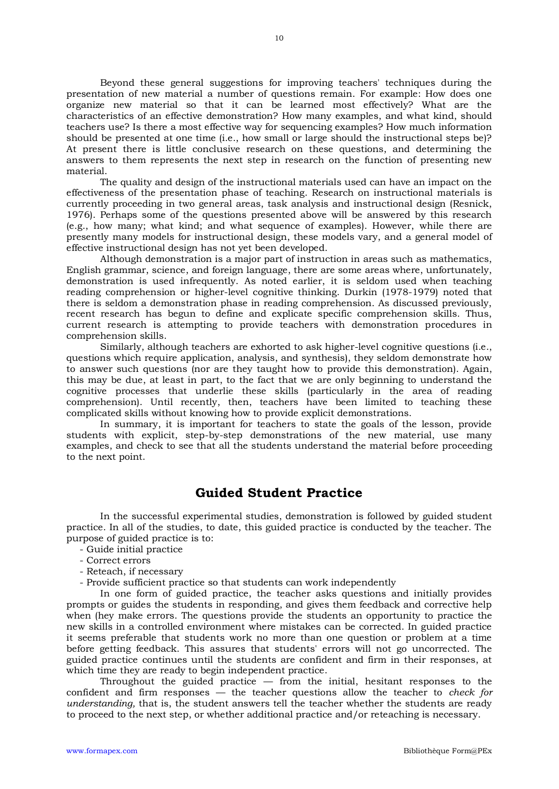Beyond these general suggestions for improving teachers' techniques during the presentation of new material a number of questions remain. For example: How does one organize new material so that it can be learned most effectively? What are the characteristics of an effective demonstration? How many examples, and what kind, should teachers use? Is there a most effective way for sequencing examples? How much information should be presented at one time (i.e., how small or large should the instructional steps be)? At present there is little conclusive research on these questions, and determining the answers to them represents the next step in research on the function of presenting new material.

The quality and design of the instructional materials used can have an impact on the effectiveness of the presentation phase of teaching. Research on instructional materials is currently proceeding in two general areas, task analysis and instructional design (Resnick, 1976). Perhaps some of the questions presented above will be answered by this research (e.g., how many; what kind; and what sequence of examples). However, while there are presently many models for instructional design, these models vary, and a general model of effective instructional design has not yet been developed.

Although demonstration is a major part of instruction in areas such as mathematics, English grammar, science, and foreign language, there are some areas where, unfortunately, demonstration is used infrequently. As noted earlier, it is seldom used when teaching reading comprehension or higher-level cognitive thinking. Durkin (1978-1979) noted that there is seldom a demonstration phase in reading comprehension. As discussed previously, recent research has begun to define and explicate specific comprehension skills. Thus, current research is attempting to provide teachers with demonstration procedures in comprehension skills.

Similarly, although teachers are exhorted to ask higher-level cognitive questions (i.e., questions which require application, analysis, and synthesis), they seldom demonstrate how to answer such questions (nor are they taught how to provide this demonstration). Again, this may be due, at least in part, to the fact that we are only beginning to understand the cognitive processes that underlie these skills (particularly in the area of reading comprehension). Until recently, then, teachers have been limited to teaching these complicated skills without knowing how to provide explicit demonstrations.

In summary, it is important for teachers to state the goals of the lesson, provide students with explicit, step-by-step demonstrations of the new material, use many examples, and check to see that all the students understand the material before proceeding to the next point.

## **Guided Student Practice**

In the successful experimental studies, demonstration is followed by guided student practice. In all of the studies, to date, this guided practice is conducted by the teacher. The purpose of guided practice is to:

- Guide initial practice
- Correct errors
- Reteach, if necessary
- Provide sufficient practice so that students can work independently

In one form of guided practice, the teacher asks questions and initially provides prompts or guides the students in responding, and gives them feedback and corrective help when (hey make errors. The questions provide the students an opportunity to practice the new skills in a controlled environment where mistakes can be corrected. In guided practice it seems preferable that students work no more than one question or problem at a time before getting feedback. This assures that students' errors will not go uncorrected. The guided practice continues until the students are confident and firm in their responses, at which time they are ready to begin independent practice.

Throughout the guided practice  $-$  from the initial, hesitant responses to the confident and firm responses — the teacher questions allow the teacher to *check for understanding,* that is, the student answers tell the teacher whether the students are ready to proceed to the next step, or whether additional practice and/or reteaching is necessary.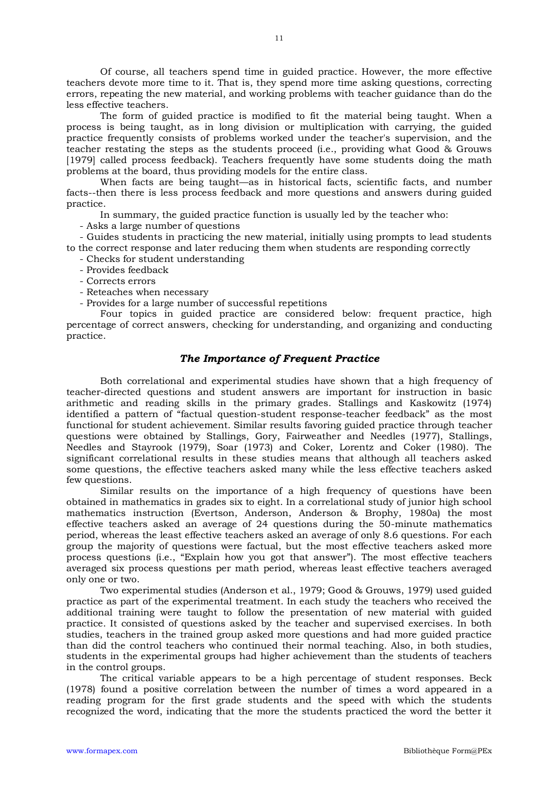Of course, all teachers spend time in guided practice. However, the more effective teachers devote more time to it. That is, they spend more time asking questions, correcting errors, repeating the new material, and working problems with teacher guidance than do the less effective teachers.

The form of guided practice is modified to fit the material being taught. When a process is being taught, as in long division or multiplication with carrying, the guided practice frequently consists of problems worked under the teacher's supervision, and the teacher restating the steps as the students proceed (i.e., providing what Good & Grouws [1979] called process feedback). Teachers frequently have some students doing the math problems at the board, thus providing models for the entire class.

When facts are being taught—as in historical facts, scientific facts, and number facts--then there is less process feedback and more questions and answers during guided practice.

In summary, the guided practice function is usually led by the teacher who:

- Asks a large number of questions

- Guides students in practicing the new material, initially using prompts to lead students to the correct response and later reducing them when students are responding correctly

- Checks for student understanding
- Provides feedback
- Corrects errors
- Reteaches when necessary
- Provides for a large number of successful repetitions

Four topics in guided practice are considered below: frequent practice, high percentage of correct answers, checking for understanding, and organizing and conducting practice.

#### *The Importance of Frequent Practice*

Both correlational and experimental studies have shown that a high frequency of teacher-directed questions and student answers are important for instruction in basic arithmetic and reading skills in the primary grades. Stallings and Kaskowitz (1974) identified a pattern of "factual question-student response-teacher feedback" as the most functional for student achievement. Similar results favoring guided practice through teacher questions were obtained by Stallings, Gory, Fairweather and Needles (1977), Stallings, Needles and Stayrook (1979), Soar (1973) and Coker, Lorentz and Coker (1980). The significant correlational results in these studies means that although all teachers asked some questions, the effective teachers asked many while the less effective teachers asked few questions.

Similar results on the importance of a high frequency of questions have been obtained in mathematics in grades six to eight. In a correlational study of junior high school mathematics instruction (Evertson, Anderson, Anderson & Brophy, 1980a) the most effective teachers asked an average of 24 questions during the 50-minute mathematics period, whereas the least effective teachers asked an average of only 8.6 questions. For each group the majority of questions were factual, but the most effective teachers asked more process questions (i.e., "Explain how you got that answer"). The most effective teachers averaged six process questions per math period, whereas least effective teachers averaged only one or two.

Two experimental studies (Anderson et al., 1979; Good & Grouws, 1979) used guided practice as part of the experimental treatment. In each study the teachers who received the additional training were taught to follow the presentation of new material with guided practice. It consisted of questions asked by the teacher and supervised exercises. In both studies, teachers in the trained group asked more questions and had more guided practice than did the control teachers who continued their normal teaching. Also, in both studies, students in the experimental groups had higher achievement than the students of teachers in the control groups.

The critical variable appears to be a high percentage of student responses. Beck (1978) found a positive correlation between the number of times a word appeared in a reading program for the first grade students and the speed with which the students recognized the word, indicating that the more the students practiced the word the better it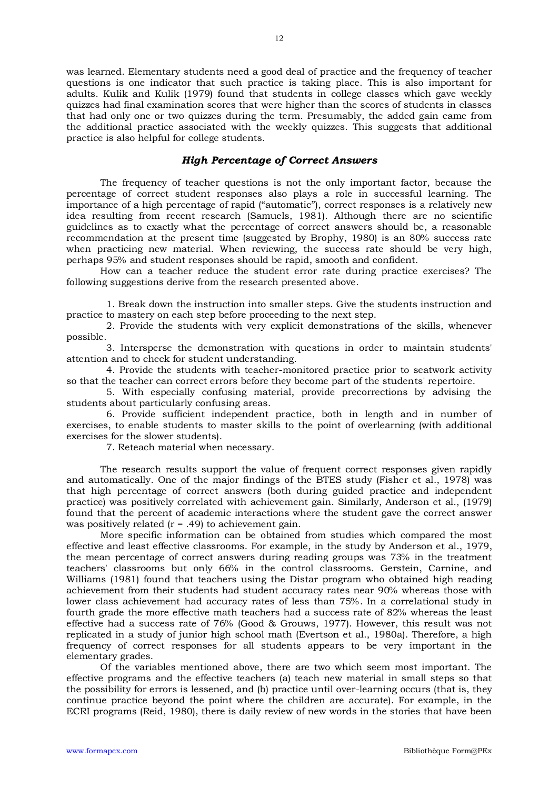was learned. Elementary students need a good deal of practice and the frequency of teacher questions is one indicator that such practice is taking place. This is also important for adults. Kulik and Kulik (1979) found that students in college classes which gave weekly quizzes had final examination scores that were higher than the scores of students in classes that had only one or two quizzes during the term. Presumably, the added gain came from the additional practice associated with the weekly quizzes. This suggests that additional practice is also helpful for college students.

#### *High Percentage of Correct Answers*

The frequency of teacher questions is not the only important factor, because the percentage of correct student responses also plays a role in successful learning. The importance of a high percentage of rapid ("automatic"), correct responses is a relatively new idea resulting from recent research (Samuels, 1981). Although there are no scientific guidelines as to exactly what the percentage of correct answers should be, a reasonable recommendation at the present time (suggested by Brophy, 1980) is an 80% success rate when practicing new material. When reviewing, the success rate should be very high, perhaps 95% and student responses should be rapid, smooth and confident.

How can a teacher reduce the student error rate during practice exercises? The following suggestions derive from the research presented above.

1. Break down the instruction into smaller steps. Give the students instruction and practice to mastery on each step before proceeding to the next step.

2. Provide the students with very explicit demonstrations of the skills, whenever possible.

3. Intersperse the demonstration with questions in order to maintain students' attention and to check for student understanding.

4. Provide the students with teacher-monitored practice prior to seatwork activity so that the teacher can correct errors before they become part of the students' repertoire.

5. With especially confusing material, provide precorrections by advising the students about particularly confusing areas.

6. Provide sufficient independent practice, both in length and in number of exercises, to enable students to master skills to the point of overlearning (with additional exercises for the slower students).

7. Reteach material when necessary.

The research results support the value of frequent correct responses given rapidly and automatically. One of the major findings of the BTES study (Fisher et al., 1978) was that high percentage of correct answers (both during guided practice and independent practice) was positively correlated with achievement gain. Similarly, Anderson et al., (1979) found that the percent of academic interactions where the student gave the correct answer was positively related  $(r = .49)$  to achievement gain.

More specific information can be obtained from studies which compared the most effective and least effective classrooms. For example, in the study by Anderson et al., 1979, the mean percentage of correct answers during reading groups was 73% in the treatment teachers' classrooms but only 66% in the control classrooms. Gerstein, Carnine, and Williams (1981) found that teachers using the Distar program who obtained high reading achievement from their students had student accuracy rates near 90% whereas those with lower class achievement had accuracy rates of less than 75%. In a correlational study in fourth grade the more effective math teachers had a success rate of 82% whereas the least effective had a success rate of 76% (Good & Grouws, 1977). However, this result was not replicated in a study of junior high school math (Evertson et al., 1980a). Therefore, a high frequency of correct responses for all students appears to be very important in the elementary grades.

Of the variables mentioned above, there are two which seem most important. The effective programs and the effective teachers (a) teach new material in small steps so that the possibility for errors is lessened, and (b) practice until over-learning occurs (that is, they continue practice beyond the point where the children are accurate). For example, in the ECRI programs (Reid, 1980), there is daily review of new words in the stories that have been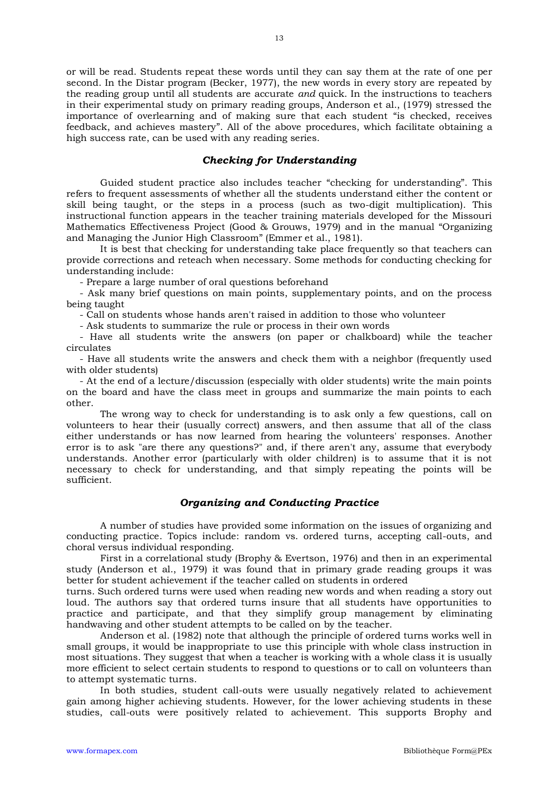or will be read. Students repeat these words until they can say them at the rate of one per second. In the Distar program (Becker, 1977), the new words in every story are repeated by the reading group until all students are accurate *and* quick. In the instructions to teachers in their experimental study on primary reading groups, Anderson et al., (1979) stressed the importance of overlearning and of making sure that each student "is checked, receives feedback, and achieves mastery". All of the above procedures, which facilitate obtaining a high success rate, can be used with any reading series.

#### *Checking for Understanding*

Guided student practice also includes teacher "checking for understanding". This refers to frequent assessments of whether all the students understand either the content or skill being taught, or the steps in a process (such as two-digit multiplication). This instructional function appears in the teacher training materials developed for the Missouri Mathematics Effectiveness Project (Good & Grouws, 1979) and in the manual "Organizing and Managing the Junior High Classroom" (Emmer et al., 1981).

It is best that checking for understanding take place frequently so that teachers can provide corrections and reteach when necessary. Some methods for conducting checking for understanding include:

- Prepare a large number of oral questions beforehand

- Ask many brief questions on main points, supplementary points, and on the process being taught

- Call on students whose hands aren't raised in addition to those who volunteer

- Ask students to summarize the rule or process in their own words

- Have all students write the answers (on paper or chalkboard) while the teacher circulates

- Have all students write the answers and check them with a neighbor (frequently used with older students)

- At the end of a lecture/discussion (especially with older students) write the main points on the board and have the class meet in groups and summarize the main points to each other.

The wrong way to check for understanding is to ask only a few questions, call on volunteers to hear their (usually correct) answers, and then assume that all of the class either understands or has now learned from hearing the volunteers' responses. Another error is to ask "are there any questions?" and, if there aren't any, assume that everybody understands. Another error (particularly with older children) is to assume that it is not necessary to check for understanding, and that simply repeating the points will be sufficient.

#### *Organizing and Conducting Practice*

A number of studies have provided some information on the issues of organizing and conducting practice. Topics include: random vs. ordered turns, accepting call-outs, and choral versus individual responding.

First in a correlational study (Brophy & Evertson, 1976) and then in an experimental study (Anderson et al., 1979) it was found that in primary grade reading groups it was better for student achievement if the teacher called on students in ordered

turns. Such ordered turns were used when reading new words and when reading a story out loud. The authors say that ordered turns insure that all students have opportunities to practice and participate, and that they simplify group management by eliminating handwaving and other student attempts to be called on by the teacher.

Anderson et al. (1982) note that although the principle of ordered turns works well in small groups, it would be inappropriate to use this principle with whole class instruction in most situations. They suggest that when a teacher is working with a whole class it is usually more efficient to select certain students to respond to questions or to call on volunteers than to attempt systematic turns.

In both studies, student call-outs were usually negatively related to achievement gain among higher achieving students. However, for the lower achieving students in these studies, call-outs were positively related to achievement. This supports Brophy and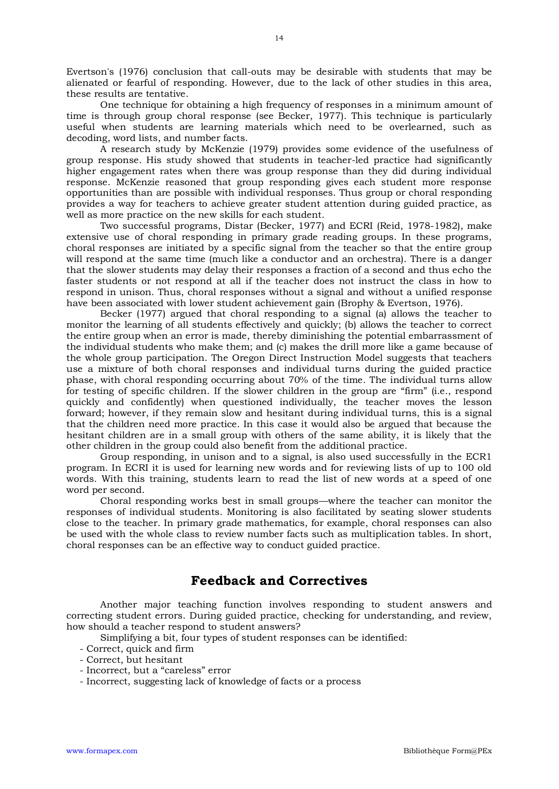Evertson's (1976) conclusion that call-outs may be desirable with students that may be alienated or fearful of responding. However, due to the lack of other studies in this area, these results are tentative.

One technique for obtaining a high frequency of responses in a minimum amount of time is through group choral response (see Becker, 1977). This technique is particularly useful when students are learning materials which need to be overlearned, such as decoding, word lists, and number facts.

A research study by McKenzie (1979) provides some evidence of the usefulness of group response. His study showed that students in teacher-led practice had significantly higher engagement rates when there was group response than they did during individual response. McKenzie reasoned that group responding gives each student more response opportunities than are possible with individual responses. Thus group or choral responding provides a way for teachers to achieve greater student attention during guided practice, as well as more practice on the new skills for each student.

Two successful programs, Distar (Becker, 1977) and ECRI (Reid, 1978-1982), make extensive use of choral responding in primary grade reading groups. In these programs, choral responses are initiated by a specific signal from the teacher so that the entire group will respond at the same time (much like a conductor and an orchestra). There is a danger that the slower students may delay their responses a fraction of a second and thus echo the faster students or not respond at all if the teacher does not instruct the class in how to respond in unison. Thus, choral responses without a signal and without a unified response have been associated with lower student achievement gain (Brophy & Evertson, 1976).

Becker (1977) argued that choral responding to a signal (a) allows the teacher to monitor the learning of all students effectively and quickly; (b) allows the teacher to correct the entire group when an error is made, thereby diminishing the potential embarrassment of the individual students who make them; and (c) makes the drill more like a game because of the whole group participation. The Oregon Direct Instruction Model suggests that teachers use a mixture of both choral responses and individual turns during the guided practice phase, with choral responding occurring about 70% of the time. The individual turns allow for testing of specific children. If the slower children in the group are "firm" (i.e., respond quickly and confidently) when questioned individually, the teacher moves the lesson forward; however, if they remain slow and hesitant during individual turns, this is a signal that the children need more practice. In this case it would also be argued that because the hesitant children are in a small group with others of the same ability, it is likely that the other children in the group could also benefit from the additional practice.

Group responding, in unison and to a signal, is also used successfully in the ECR1 program. In ECRI it is used for learning new words and for reviewing lists of up to 100 old words. With this training, students learn to read the list of new words at a speed of one word per second.

Choral responding works best in small groups—where the teacher can monitor the responses of individual students. Monitoring is also facilitated by seating slower students close to the teacher. In primary grade mathematics, for example, choral responses can also be used with the whole class to review number facts such as multiplication tables. In short, choral responses can be an effective way to conduct guided practice.

## **Feedback and Correctives**

Another major teaching function involves responding to student answers and correcting student errors. During guided practice, checking for understanding, and review, how should a teacher respond to student answers?

Simplifying a bit, four types of student responses can be identified:

- Correct, quick and firm
- Correct, but hesitant
- Incorrect, but a "careless" error
- Incorrect, suggesting lack of knowledge of facts or a process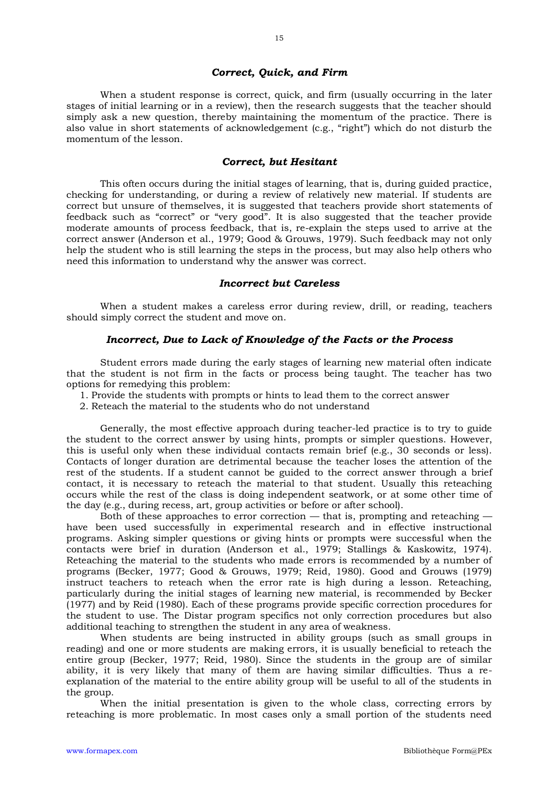#### *Correct, Quick, and Firm*

When a student response is correct, quick, and firm (usually occurring in the later stages of initial learning or in a review), then the research suggests that the teacher should simply ask a new question, thereby maintaining the momentum of the practice. There is also value in short statements of acknowledgement (c.g., "right") which do not disturb the momentum of the lesson.

#### *Correct, but Hesitant*

This often occurs during the initial stages of learning, that is, during guided practice, checking for understanding, or during a review of relatively new material. If students are correct but unsure of themselves, it is suggested that teachers provide short statements of feedback such as "correct" or "very good". It is also suggested that the teacher provide moderate amounts of process feedback, that is, re-explain the steps used to arrive at the correct answer (Anderson et al., 1979; Good & Grouws, 1979). Such feedback may not only help the student who is still learning the steps in the process, but may also help others who need this information to understand why the answer was correct.

#### *Incorrect but Careless*

When a student makes a careless error during review, drill, or reading, teachers should simply correct the student and move on.

#### *Incorrect, Due to Lack of Knowledge of the Facts or the Process*

Student errors made during the early stages of learning new material often indicate that the student is not firm in the facts or process being taught. The teacher has two options for remedying this problem:

- 1. Provide the students with prompts or hints to lead them to the correct answer
- 2. Reteach the material to the students who do not understand

Generally, the most effective approach during teacher-led practice is to try to guide the student to the correct answer by using hints, prompts or simpler questions. However, this is useful only when these individual contacts remain brief (e.g., 30 seconds or less). Contacts of longer duration are detrimental because the teacher loses the attention of the rest of the students. If a student cannot be guided to the correct answer through a brief contact, it is necessary to reteach the material to that student. Usually this reteaching occurs while the rest of the class is doing independent seatwork, or at some other time of the day (e.g., during recess, art, group activities or before or after school).

Both of these approaches to error correction — that is, prompting and reteaching have been used successfully in experimental research and in effective instructional programs. Asking simpler questions or giving hints or prompts were successful when the contacts were brief in duration (Anderson et al., 1979; Stallings & Kaskowitz, 1974). Reteaching the material to the students who made errors is recommended by a number of programs (Becker, 1977; Good & Grouws, 1979; Reid, 1980). Good and Grouws (1979) instruct teachers to reteach when the error rate is high during a lesson. Reteaching, particularly during the initial stages of learning new material, is recommended by Becker (1977) and by Reid (1980). Each of these programs provide specific correction procedures for the student to use. The Distar program specifics not only correction procedures but also additional teaching to strengthen the student in any area of weakness.

When students are being instructed in ability groups (such as small groups in reading) and one or more students are making errors, it is usually beneficial to reteach the entire group (Becker, 1977; Reid, 1980). Since the students in the group are of similar ability, it is very likely that many of them are having similar difficulties. Thus a reexplanation of the material to the entire ability group will be useful to all of the students in the group.

When the initial presentation is given to the whole class, correcting errors by reteaching is more problematic. In most cases only a small portion of the students need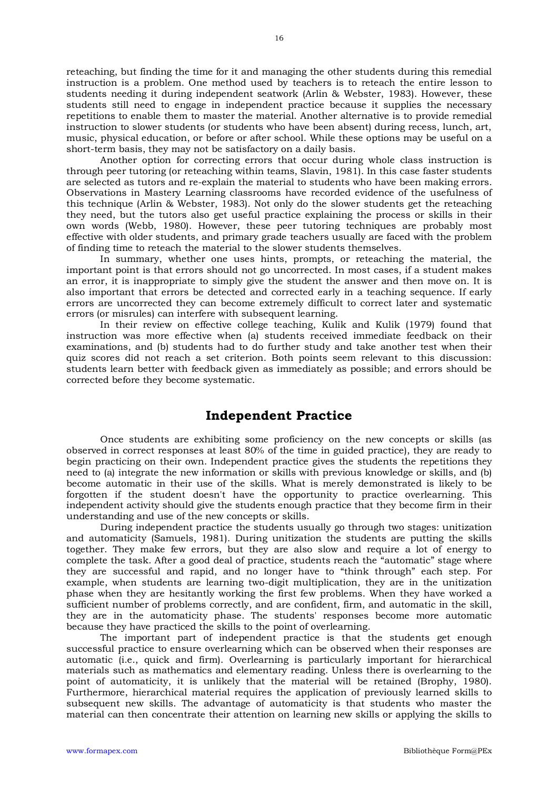reteaching, but finding the time for it and managing the other students during this remedial instruction is a problem. One method used by teachers is to reteach the entire lesson to students needing it during independent seatwork (Arlin & Webster, 1983). However, these students still need to engage in independent practice because it supplies the necessary repetitions to enable them to master the material. Another alternative is to provide remedial instruction to slower students (or students who have been absent) during recess, lunch, art, music, physical education, or before or after school. While these options may be useful on a short-term basis, they may not be satisfactory on a daily basis.

Another option for correcting errors that occur during whole class instruction is through peer tutoring (or reteaching within teams, Slavin, 1981). In this case faster students are selected as tutors and re-explain the material to students who have been making errors. Observations in Mastery Learning classrooms have recorded evidence of the usefulness of this technique (Arlin & Webster, 1983). Not only do the slower students get the reteaching they need, but the tutors also get useful practice explaining the process or skills in their own words (Webb, 1980). However, these peer tutoring techniques are probably most effective with older students, and primary grade teachers usually are faced with the problem of finding time to reteach the material to the slower students themselves.

In summary, whether one uses hints, prompts, or reteaching the material, the important point is that errors should not go uncorrected. In most cases, if a student makes an error, it is inappropriate to simply give the student the answer and then move on. It is also important that errors be detected and corrected early in a teaching sequence. If early errors are uncorrected they can become extremely difficult to correct later and systematic errors (or misrules) can interfere with subsequent learning.

In their review on effective college teaching, Kulik and Kulik (1979) found that instruction was more effective when (a) students received immediate feedback on their examinations, and (b) students had to do further study and take another test when their quiz scores did not reach a set criterion. Both points seem relevant to this discussion: students learn better with feedback given as immediately as possible; and errors should be corrected before they become systematic.

## **Independent Practice**

Once students are exhibiting some proficiency on the new concepts or skills (as observed in correct responses at least 80% of the time in guided practice), they are ready to begin practicing on their own. Independent practice gives the students the repetitions they need to (a) integrate the new information or skills with previous knowledge or skills, and (b) become automatic in their use of the skills. What is merely demonstrated is likely to be forgotten if the student doesn't have the opportunity to practice overlearning. This independent activity should give the students enough practice that they become firm in their understanding and use of the new concepts or skills.

During independent practice the students usually go through two stages: unitization and automaticity (Samuels, 1981). During unitization the students are putting the skills together. They make few errors, but they are also slow and require a lot of energy to complete the task. After a good deal of practice, students reach the "automatic" stage where they are successful and rapid, and no longer have to "think through" each step. For example, when students are learning two-digit multiplication, they are in the unitization phase when they are hesitantly working the first few problems. When they have worked a sufficient number of problems correctly, and are confident, firm, and automatic in the skill, they are in the automaticity phase. The students' responses become more automatic because they have practiced the skills to the point of overlearning.

The important part of independent practice is that the students get enough successful practice to ensure overlearning which can be observed when their responses are automatic (i.e., quick and firm). Overlearning is particularly important for hierarchical materials such as mathematics and elementary reading. Unless there is overlearning to the point of automaticity, it is unlikely that the material will be retained (Brophy, 1980). Furthermore, hierarchical material requires the application of previously learned skills to subsequent new skills. The advantage of automaticity is that students who master the material can then concentrate their attention on learning new skills or applying the skills to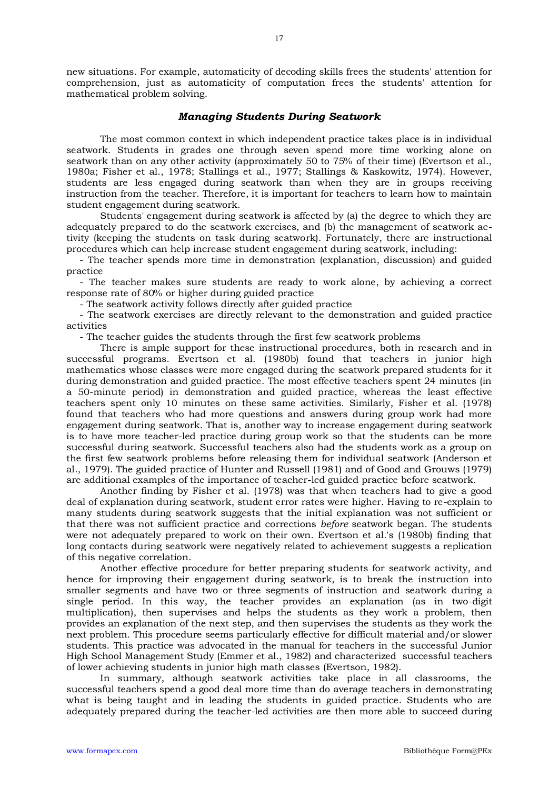new situations. For example, automaticity of decoding skills frees the students' attention for comprehension, just as automaticity of computation frees the students' attention for mathematical problem solving.

#### *Managing Students During Seatwork*

The most common context in which independent practice takes place is in individual seatwork. Students in grades one through seven spend more time working alone on seatwork than on any other activity (approximately 50 to 75% of their time) (Evertson et al., 1980a; Fisher et al., 1978; Stallings et al., 1977; Stallings & Kaskowitz, 1974). However, students are less engaged during seatwork than when they are in groups receiving instruction from the teacher. Therefore, it is important for teachers to learn how to maintain student engagement during seatwork.

Students' engagement during seatwork is affected by (a) the degree to which they are adequately prepared to do the seatwork exercises, and (b) the management of seatwork activity (keeping the students on task during seatwork). Fortunately, there are instructional procedures which can help increase student engagement during seatwork, including:

- The teacher spends more time in demonstration (explanation, discussion) and guided practice

- The teacher makes sure students are ready to work alone, by achieving a correct response rate of 80% or higher during guided practice

- The seatwork activity follows directly after guided practice

- The seatwork exercises are directly relevant to the demonstration and guided practice activities

- The teacher guides the students through the first few seatwork problems

There is ample support for these instructional procedures, both in research and in successful programs. Evertson et al. (1980b) found that teachers in junior high mathematics whose classes were more engaged during the seatwork prepared students for it during demonstration and guided practice. The most effective teachers spent 24 minutes (in a 50-minute period) in demonstration and guided practice, whereas the least effective teachers spent only 10 minutes on these same activities. Similarly, Fisher et al. (1978) found that teachers who had more questions and answers during group work had more engagement during seatwork. That is, another way to increase engagement during seatwork is to have more teacher-led practice during group work so that the students can be more successful during seatwork. Successful teachers also had the students work as a group on the first few seatwork problems before releasing them for individual seatwork (Anderson et al., 1979). The guided practice of Hunter and Russell (1981) and of Good and Grouws (1979) are additional examples of the importance of teacher-led guided practice before seatwork.

Another finding by Fisher et al. (1978) was that when teachers had to give a good deal of explanation during seatwork, student error rates were higher. Having to re-explain to many students during seatwork suggests that the initial explanation was not sufficient or that there was not sufficient practice and corrections *before* seatwork began. The students were not adequately prepared to work on their own. Evertson et al.'s (1980b) finding that long contacts during seatwork were negatively related to achievement suggests a replication of this negative correlation.

Another effective procedure for better preparing students for seatwork activity, and hence for improving their engagement during seatwork, is to break the instruction into smaller segments and have two or three segments of instruction and seatwork during a single period. In this way, the teacher provides an explanation (as in two-digit multiplication), then supervises and helps the students as they work a problem, then provides an explanation of the next step, and then supervises the students as they work the next problem. This procedure seems particularly effective for difficult material and/or slower students. This practice was advocated in the manual for teachers in the successful Junior High School Management Study (Emmer et al., 1982) and characterized successful teachers of lower achieving students in junior high math classes (Evertson, 1982).

In summary, although seatwork activities take place in all classrooms, the successful teachers spend a good deal more time than do average teachers in demonstrating what is being taught and in leading the students in guided practice. Students who are adequately prepared during the teacher-led activities are then more able to succeed during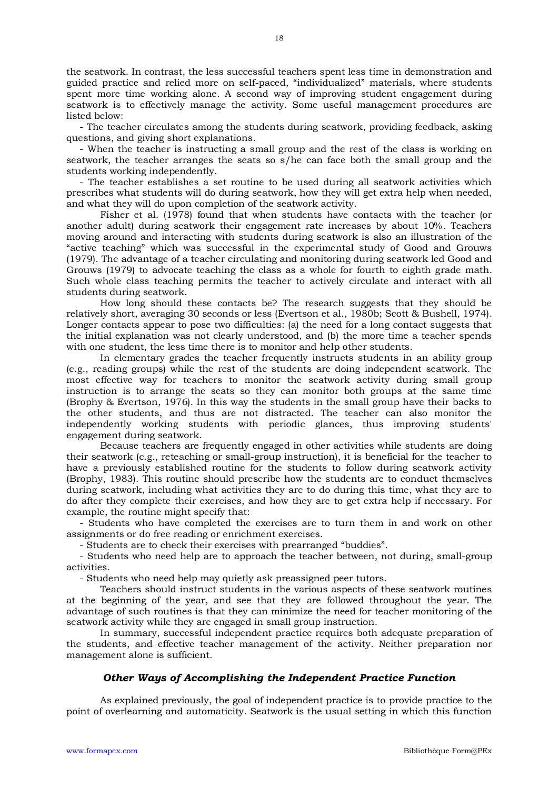the seatwork. In contrast, the less successful teachers spent less time in demonstration and guided practice and relied more on self-paced, "individualized" materials, where students spent more time working alone. A second way of improving student engagement during seatwork is to effectively manage the activity. Some useful management procedures are listed below:

- The teacher circulates among the students during seatwork, providing feedback, asking questions, and giving short explanations.

- When the teacher is instructing a small group and the rest of the class is working on seatwork, the teacher arranges the seats so s/he can face both the small group and the students working independently.

- The teacher establishes a set routine to be used during all seatwork activities which prescribes what students will do during seatwork, how they will get extra help when needed, and what they will do upon completion of the seatwork activity.

Fisher et al. (1978) found that when students have contacts with the teacher (or another adult) during seatwork their engagement rate increases by about 10%. Teachers moving around and interacting with students during seatwork is also an illustration of the "active teaching" which was successful in the experimental study of Good and Grouws (1979). The advantage of a teacher circulating and monitoring during seatwork led Good and Grouws (1979) to advocate teaching the class as a whole for fourth to eighth grade math. Such whole class teaching permits the teacher to actively circulate and interact with all students during seatwork.

How long should these contacts be? The research suggests that they should be relatively short, averaging 30 seconds or less (Evertson et al., 1980b; Scott & Bushell, 1974). Longer contacts appear to pose two difficulties: (a) the need for a long contact suggests that the initial explanation was not clearly understood, and (b) the more time a teacher spends with one student, the less time there is to monitor and help other students.

In elementary grades the teacher frequently instructs students in an ability group (e.g., reading groups) while the rest of the students are doing independent seatwork. The most effective way for teachers to monitor the seatwork activity during small group instruction is to arrange the seats so they can monitor both groups at the same time (Brophy & Evertson, 1976). In this way the students in the small group have their backs to the other students, and thus are not distracted. The teacher can also monitor the independently working students with periodic glances, thus improving students' engagement during seatwork.

Because teachers are frequently engaged in other activities while students are doing their seatwork (c.g., reteaching or small-group instruction), it is beneficial for the teacher to have a previously established routine for the students to follow during seatwork activity (Brophy, 1983). This routine should prescribe how the students are to conduct themselves during seatwork, including what activities they are to do during this time, what they are to do after they complete their exercises, and how they are to get extra help if necessary. For example, the routine might specify that:

- Students who have completed the exercises are to turn them in and work on other assignments or do free reading or enrichment exercises.

- Students are to check their exercises with prearranged "buddies".

- Students who need help are to approach the teacher between, not during, small-group activities.

- Students who need help may quietly ask preassigned peer tutors.

Teachers should instruct students in the various aspects of these seatwork routines at the beginning of the year, and see that they are followed throughout the year. The advantage of such routines is that they can minimize the need for teacher monitoring of the seatwork activity while they are engaged in small group instruction.

In summary, successful independent practice requires both adequate preparation of the students, and effective teacher management of the activity. Neither preparation nor management alone is sufficient.

#### *Other Ways of Accomplishing the Independent Practice Function*

As explained previously, the goal of independent practice is to provide practice to the point of overlearning and automaticity. Seatwork is the usual setting in which this function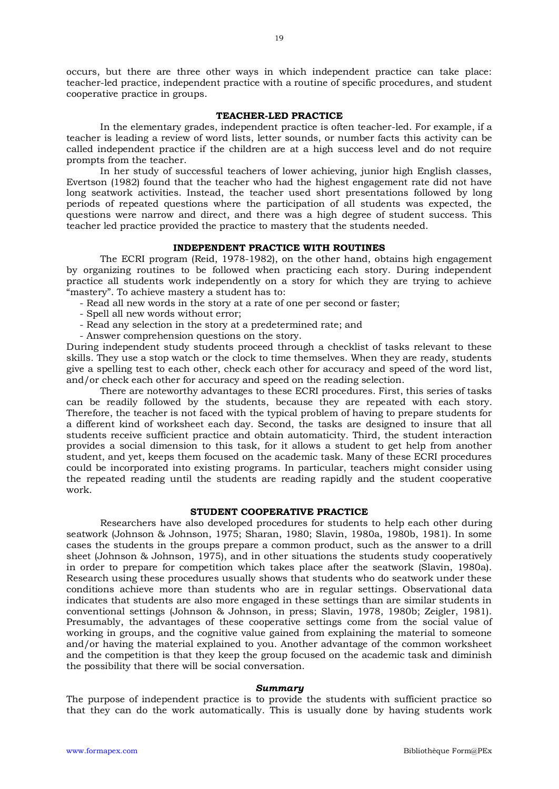occurs, but there are three other ways in which independent practice can take place: teacher-led practice, independent practice with a routine of specific procedures, and student cooperative practice in groups.

#### **TEACHER-LED PRACTICE**

In the elementary grades, independent practice is often teacher-led. For example, if a teacher is leading a review of word lists, letter sounds, or number facts this activity can be called independent practice if the children are at a high success level and do not require prompts from the teacher.

In her study of successful teachers of lower achieving, junior high English classes, Evertson (1982) found that the teacher who had the highest engagement rate did not have long seatwork activities. Instead, the teacher used short presentations followed by long periods of repeated questions where the participation of all students was expected, the questions were narrow and direct, and there was a high degree of student success. This teacher led practice provided the practice to mastery that the students needed.

#### **INDEPENDENT PRACTICE WITH ROUTINES**

The ECRI program (Reid, 1978-1982), on the other hand, obtains high engagement by organizing routines to be followed when practicing each story. During independent practice all students work independently on a story for which they are trying to achieve "mastery". To achieve mastery a student has to:

- Read all new words in the story at a rate of one per second or faster;
- Spell all new words without error;
- Read any selection in the story at a predetermined rate; and
- Answer comprehension questions on the story.

During independent study students proceed through a checklist of tasks relevant to these skills. They use a stop watch or the clock to time themselves. When they are ready, students give a spelling test to each other, check each other for accuracy and speed of the word list, and/or check each other for accuracy and speed on the reading selection.

There are noteworthy advantages to these ECRI procedures. First, this series of tasks can be readily followed by the students, because they are repeated with each story. Therefore, the teacher is not faced with the typical problem of having to prepare students for a different kind of worksheet each day. Second, the tasks are designed to insure that all students receive sufficient practice and obtain automaticity. Third, the student interaction provides a social dimension to this task, for it allows a student to get help from another student, and yet, keeps them focused on the academic task. Many of these ECRI procedures could be incorporated into existing programs. In particular, teachers might consider using the repeated reading until the students are reading rapidly and the student cooperative work.

#### **STUDENT COOPERATIVE PRACTICE**

Researchers have also developed procedures for students to help each other during seatwork (Johnson & Johnson, 1975; Sharan, 1980; Slavin, 1980a, 1980b, 1981). In some cases the students in the groups prepare a common product, such as the answer to a drill sheet (Johnson & Johnson, 1975), and in other situations the students study cooperatively in order to prepare for competition which takes place after the seatwork (Slavin, 1980a). Research using these procedures usually shows that students who do seatwork under these conditions achieve more than students who are in regular settings. Observational data indicates that students are also more engaged in these settings than are similar students in conventional settings (Johnson & Johnson, in press; Slavin, 1978, 1980b; Zeigler, 1981). Presumably, the advantages of these cooperative settings come from the social value of working in groups, and the cognitive value gained from explaining the material to someone and/or having the material explained to you. Another advantage of the common worksheet and the competition is that they keep the group focused on the academic task and diminish the possibility that there will be social conversation.

#### *Summary*

The purpose of independent practice is to provide the students with sufficient practice so that they can do the work automatically. This is usually done by having students work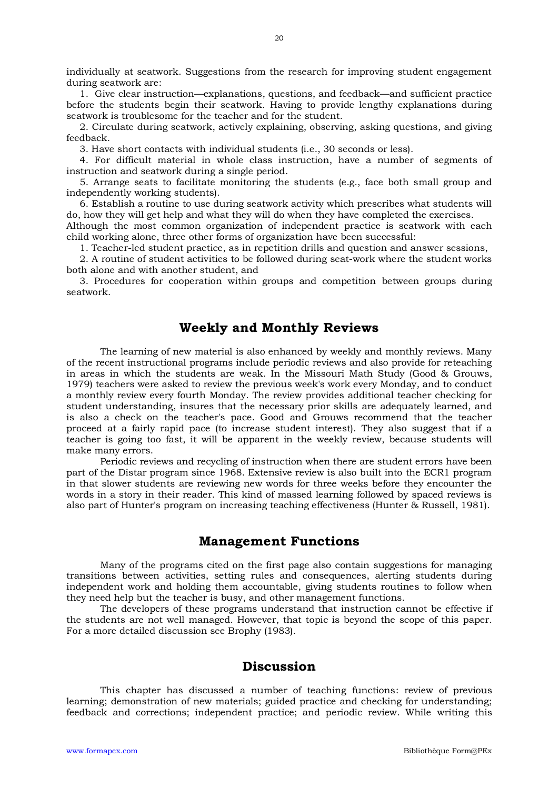individually at seatwork. Suggestions from the research for improving student engagement during seatwork are:

1. Give clear instruction—explanations, questions, and feedback—and sufficient practice before the students begin their seatwork. Having to provide lengthy explanations during seatwork is troublesome for the teacher and for the student.

2. Circulate during seatwork, actively explaining, observing, asking questions, and giving feedback.

3. Have short contacts with individual students (i.e., 30 seconds or less).

4. For difficult material in whole class instruction, have a number of segments of instruction and seatwork during a single period.

5. Arrange seats to facilitate monitoring the students (e.g., face both small group and independently working students).

6. Establish a routine to use during seatwork activity which prescribes what students will do, how they will get help and what they will do when they have completed the exercises.

Although the most common organization of independent practice is seatwork with each child working alone, three other forms of organization have been successful:

1. Teacher-led student practice, as in repetition drills and question and answer sessions,

2. A routine of student activities to be followed during seat-work where the student works both alone and with another student, and

3. Procedures for cooperation within groups and competition between groups during seatwork.

## **Weekly and Monthly Reviews**

The learning of new material is also enhanced by weekly and monthly reviews. Many of the recent instructional programs include periodic reviews and also provide for reteaching in areas in which the students are weak. In the Missouri Math Study (Good & Grouws, 1979) teachers were asked to review the previous week's work every Monday, and to conduct a monthly review every fourth Monday. The review provides additional teacher checking for student understanding, insures that the necessary prior skills are adequately learned, and is also a check on the teacher's pace. Good and Grouws recommend that the teacher proceed at a fairly rapid pace (to increase student interest). They also suggest that if a teacher is going too fast, it will be apparent in the weekly review, because students will make many errors.

Periodic reviews and recycling of instruction when there are student errors have been part of the Distar program since 1968. Extensive review is also built into the ECR1 program in that slower students are reviewing new words for three weeks before they encounter the words in a story in their reader. This kind of massed learning followed by spaced reviews is also part of Hunter's program on increasing teaching effectiveness (Hunter & Russell, 1981).

## **Management Functions**

Many of the programs cited on the first page also contain suggestions for managing transitions between activities, setting rules and consequences, alerting students during independent work and holding them accountable, giving students routines to follow when they need help but the teacher is busy, and other management functions.

The developers of these programs understand that instruction cannot be effective if the students are not well managed. However, that topic is beyond the scope of this paper. For a more detailed discussion see Brophy (1983).

## **Discussion**

This chapter has discussed a number of teaching functions: review of previous learning; demonstration of new materials; guided practice and checking for understanding; feedback and corrections; independent practice; and periodic review. While writing this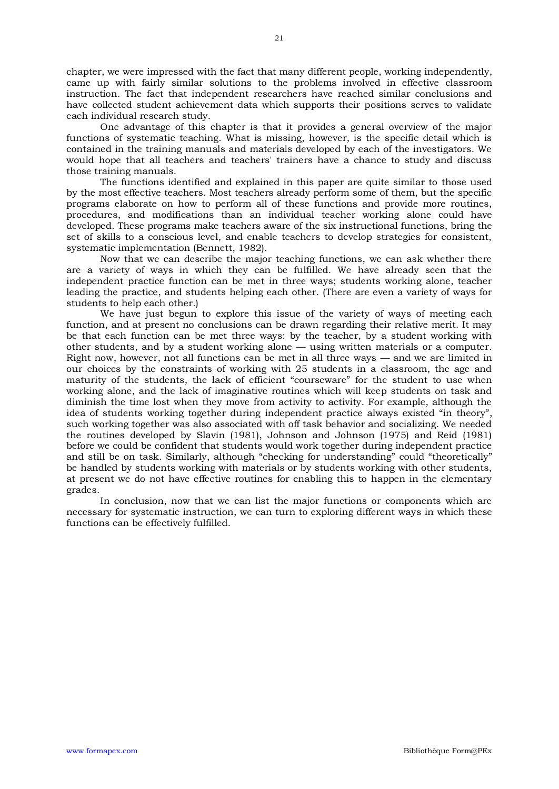chapter, we were impressed with the fact that many different people, working independently, came up with fairly similar solutions to the problems involved in effective classroom instruction. The fact that independent researchers have reached similar conclusions and have collected student achievement data which supports their positions serves to validate each individual research study.

One advantage of this chapter is that it provides a general overview of the major functions of systematic teaching. What is missing, however, is the specific detail which is contained in the training manuals and materials developed by each of the investigators. We would hope that all teachers and teachers' trainers have a chance to study and discuss those training manuals.

The functions identified and explained in this paper are quite similar to those used by the most effective teachers. Most teachers already perform some of them, but the specific programs elaborate on how to perform all of these functions and provide more routines, procedures, and modifications than an individual teacher working alone could have developed. These programs make teachers aware of the six instructional functions, bring the set of skills to a conscious level, and enable teachers to develop strategies for consistent, systematic implementation (Bennett, 1982).

Now that we can describe the major teaching functions, we can ask whether there are a variety of ways in which they can be fulfilled. We have already seen that the independent practice function can be met in three ways; students working alone, teacher leading the practice, and students helping each other. (There are even a variety of ways for students to help each other.)

We have just begun to explore this issue of the variety of ways of meeting each function, and at present no conclusions can be drawn regarding their relative merit. It may be that each function can be met three ways: by the teacher, by a student working with other students, and by a student working alone — using written materials or a computer. Right now, however, not all functions can be met in all three ways — and we are limited in our choices by the constraints of working with 25 students in a classroom, the age and maturity of the students, the lack of efficient "courseware" for the student to use when working alone, and the lack of imaginative routines which will keep students on task and diminish the time lost when they move from activity to activity. For example, although the idea of students working together during independent practice always existed "in theory", such working together was also associated with off task behavior and socializing. We needed the routines developed by Slavin (1981), Johnson and Johnson (1975) and Reid (1981) before we could be confident that students would work together during independent practice and still be on task. Similarly, although "checking for understanding" could "theoretically" be handled by students working with materials or by students working with other students, at present we do not have effective routines for enabling this to happen in the elementary grades.

In conclusion, now that we can list the major functions or components which are necessary for systematic instruction, we can turn to exploring different ways in which these functions can be effectively fulfilled.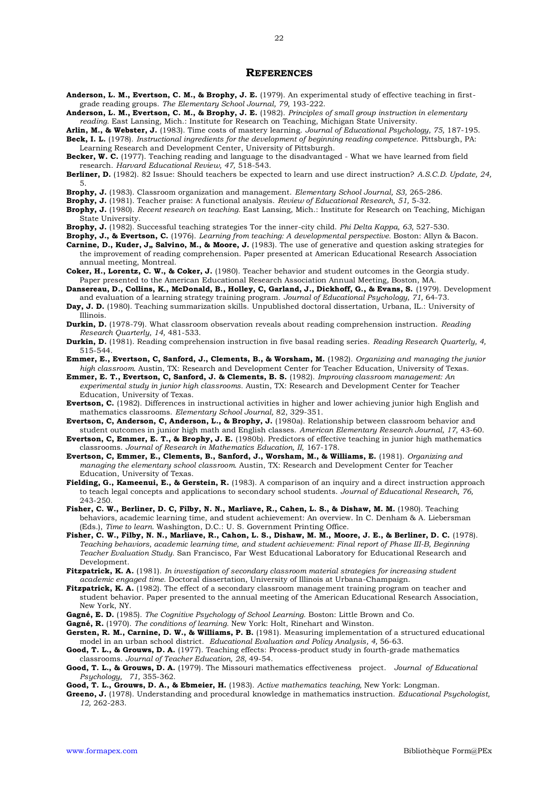#### **REFERENCES**

22

- **Anderson, L. M., Evertson, C. M., & Brophy, J. E.** (1979). An experimental study of effective teaching in firstgrade reading groups. *The Elementary School Journal, 79,* 193-222.
- **Anderson, L. M., Evertson, C. M., & Brophy, J. E.** (1982). *Principles of small group instruction in elementary reading.* East Lansing, Mich.: Institute for Research on Teaching, Michigan State University.

**Arlin, M., & Webster, J.** (1983). Time costs of mastery learning. *Journal of Educational Psychology, 75,* 187-195. **Beck, I. L.** (1978). *Instructional ingredients for the development of beginning reading competence.* Pittsburgh, PA:

Learning Research and Development Center, University of Pittsburgh.

**Becker, W. C.** (1977). Teaching reading and language to the disadvantaged - What we have learned from field research. *Harvard Educational Review, 47,* 518-543.

**Berliner, D.** (1982). 82 Issue: Should teachers be expected to learn and use direct instruction? *A.S.C.D. Update, 24,*  5.

**Brophy, J.** (1983). Classroom organization and management. *Elementary School Journal, S3,* 265-286.

**Brophy, J.** (1981). Teacher praise: A functional analysis. *Review of Educational Research, 51,* 5-32.

**Brophy, J.** (1980). *Recent research on teaching.* East Lansing, Mich.: Institute for Research on Teaching, Michigan State University.

**Brophy, J.** (1982). Successful teaching strategies Tor the inner-city child. *Phi Delta Kappa, 63,* 527-530.

- **Brophy, J., & Evertson, C.** (1976). *Learning from teaching: A developmental perspective.* Boston: Allyn & Bacon. **Carnine, D., Kuder, J., Salvino, M., & Moore, J.** (1983). The use of generative and question asking strategies for the improvement of reading comprehension. Paper presented at American Educational Research Association annual meeting, Montreal.
- **Coker, H., Lorentz, C. W., & Coker, J.** (1980). Teacher behavior and student outcomes in the Georgia study. Paper presented to the American Educational Research Association Annual Meeting, Boston, MA.
- **Dansereau, D., Collins, K., McDonald, B., Holley, C, Garland, J., Dickhoff, G., & Evans, S.** (1979). Development and evaluation of a learning strategy training program. *Journal of Educational Psychology, 71,* 64-73.
- **Day, J. D.** (1980). Teaching summarization skills. Unpublished doctoral dissertation, Urbana, IL.: University of Illinois.
- **Durkin, D.** (1978-79). What classroom observation reveals about reading comprehension instruction. *Reading Research Quarterly, 14,* 481-533.
- **Durkin, D.** (1981). Reading comprehension instruction in five basal reading series. *Reading Research Quarterly, 4,*  515-544.
- **Emmer, E., Evertson, C, Sanford, J., Clements, B., & Worsham, M.** (1982). *Organizing and managing the junior high classroom.* Austin, TX: Research and Development Center for Teacher Education, University of Texas.
- **Emmer, E. T., Evertson, C, Sanford, J. & Clements, B. S.** (1982). *Improving classroom management: An experimental study in junior high classrooms.* Austin, TX: Research and Development Center for Teacher Education, University of Texas.
- **Evertson, C.** (1982). Differences in instructional activities in higher and lower achieving junior high English and mathematics classrooms. *Elementary School Journal,* 82, 329-351.
- **Evertson, C, Anderson, C, Anderson, L., & Brophy, J.** (1980a). Relationship between classroom behavior and student outcomes in junior high math and English classes. *American Elementary Research Journal, 17,* 43-60.
- **Evertson, C, Emmer, E. T., & Brophy, J. E.** (1980b). Predictors of effective teaching in junior high mathematics classrooms. *Journal of Research in Mathematics Education, II,* 167-178.
- **Evertson, C, Emmer, E., Clements, B., Sanford, J., Worsham, M., & Williams, E.** (1981). *Organizing and managing the elementary school classroom.* Austin, TX: Research and Development Center for Teacher Education, University of Texas.
- **Fielding, G., Kameenui, E., & Gerstein, R.** (1983). A comparison of an inquiry and a direct instruction approach to teach legal concepts and applications to secondary school students. *Journal of Educational Research, 76,*  243-250.
- **Fisher, C. W., Berliner, D. C, Filby, N. N., Marliave, R., Cahen, L. S., & Dishaw, M. M.** (1980). Teaching behaviors, academic learning time, and student achievement: An overview. In C. Denham & A. Liebersman (Eds.), *Time to learn.* Washington, D.C.: U. S. Government Printing Office.
- **Fisher, C. W., Filby, N. N., Marliave, R., Cahon, L. S., Dishaw, M. M., Moore, J. E., & Berliner, D. C.** (1978). *Teaching behaviors, academic learning time, and student achievement: Final report of Phase III-B, Beginning Teacher Evaluation Study.* San Francisco, Far West Educational Laboratory for Educational Research and Development.
- **Fitzpatrick, K. A.** (1981). *In investigation of secondary classroom material strategies for increasing student academic engaged time.* Doctoral dissertation, University of Illinois at Urbana-Champaign.
- Fitzpatrick, K. A. (1982). The effect of a secondary classroom management training program on teacher and student behavior. Paper presented to the annual meeting of the American Educational Research Association, New York, NY.
- **Gagné, E. D.** (1985). *The Cognitive Psychology of School Learning.* Boston: Little Brown and Co.

**Gagné, R.** (1970). *The conditions of learning.* New York: Holt, Rinehart and Winston.

- **Gersten, R. M., Carnine, D. W., & Williams, P. B.** (1981). Measuring implementation of a structured educational model in an urban school district. *Educational Evaluation and Policy Analysis, 4,* 56-63.
- **Good, T. L., & Grouws, D. A.** (1977). Teaching effects: Process-product study in fourth-grade mathematics classrooms. *Journal of Teacher Education, 28,* 49-54.
- **Good, T. L., & Grouws, D. A.** (1979). The Missouri mathematics effectiveness project. *Journal of Educational Psychology, 71,* 355-362.

**Good, T. L., Grouws, D. A., & Ebmeier, H.** (1983). *Active mathematics teaching,* New York: Longman.

**Greeno, J.** (1978). Understanding and procedural knowledge in mathematics instruction. *Educational Psychologist, 12,* 262-283.